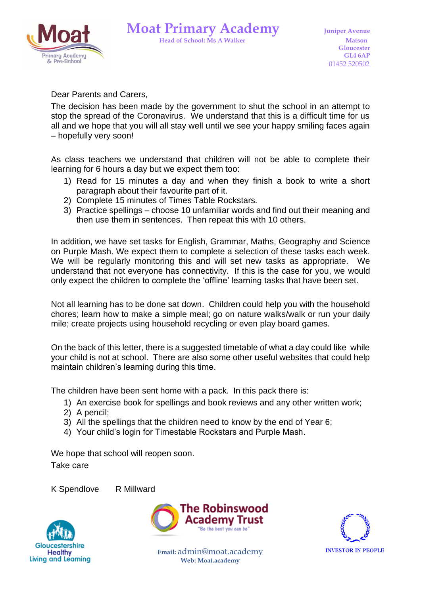

Dear Parents and Carers,

The decision has been made by the government to shut the school in an attempt to stop the spread of the Coronavirus. We understand that this is a difficult time for us all and we hope that you will all stay well until we see your happy smiling faces again – hopefully very soon!

As class teachers we understand that children will not be able to complete their learning for 6 hours a day but we expect them too:

- 1) Read for 15 minutes a day and when they finish a book to write a short paragraph about their favourite part of it.
- 2) Complete 15 minutes of Times Table Rockstars.
- 3) Practice spellings choose 10 unfamiliar words and find out their meaning and then use them in sentences. Then repeat this with 10 others.

In addition, we have set tasks for English, Grammar, Maths, Geography and Science on Purple Mash. We expect them to complete a selection of these tasks each week. We will be regularly monitoring this and will set new tasks as appropriate. We understand that not everyone has connectivity. If this is the case for you, we would only expect the children to complete the 'offline' learning tasks that have been set.

Not all learning has to be done sat down. Children could help you with the household chores; learn how to make a simple meal; go on nature walks/walk or run your daily mile; create projects using household recycling or even play board games.

On the back of this letter, there is a suggested timetable of what a day could like while your child is not at school. There are also some other useful websites that could help maintain children's learning during this time.

The children have been sent home with a pack. In this pack there is:

- 1) An exercise book for spellings and book reviews and any other written work;
- 2) A pencil;
- 3) All the spellings that the children need to know by the end of Year 6;
- 4) Your child's login for Timestable Rockstars and Purple Mash.

We hope that school will reopen soon. Take care

K Spendlove R Millward

Gloucestershire **Healthy** Living and Learning





**Email:** admin@moat.academy **Web: Moat.academy**